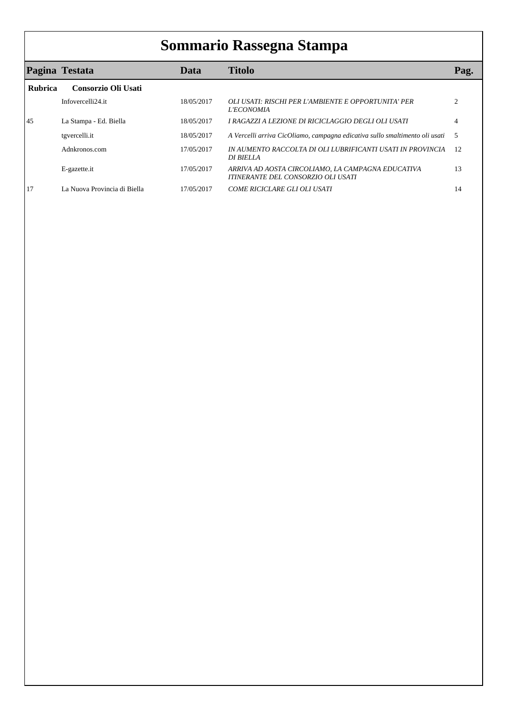## **Sommario Rassegna Stampa**

|         | Pagina Testata               | Data       | <b>Titolo</b>                                                                                  | Pag.           |
|---------|------------------------------|------------|------------------------------------------------------------------------------------------------|----------------|
| Rubrica | Consorzio Oli Usati          |            |                                                                                                |                |
|         | Infovercelli24.it            | 18/05/2017 | OLI USATI: RISCHI PER L'AMBIENTE E OPPORTUNITA' PER<br><i>L'ECONOMIA</i>                       | $\mathfrak{D}$ |
| 145     | La Stampa - Ed. Biella       | 18/05/2017 | I RAGAZZI A LEZIONE DI RICICLAGGIO DEGLI OLI USATI                                             | 4              |
|         | tgyercelli.it                | 18/05/2017 | A Vercelli arriva CicOliamo, campagna edicativa sullo smaltimento oli usati                    | -5             |
|         | Adnkronos.com                | 17/05/2017 | IN AUMENTO RACCOLTA DI OLI LUBRIFICANTI USATI IN PROVINCIA<br>DI BIELLA                        | 12             |
|         | E-gazette.it                 | 17/05/2017 | ARRIVA AD AOSTA CIRCOLIAMO, LA CAMPAGNA EDUCATIVA<br><b>ITINERANTE DEL CONSORZIO OLI USATI</b> | 13             |
| l 17    | La Nuova Provincia di Biella | 17/05/2017 | COME RICICLARE GLI OLI USATI                                                                   | 14             |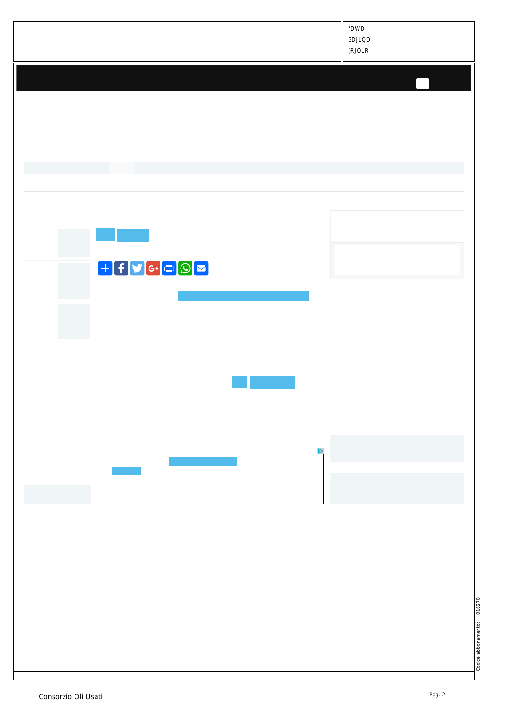<span id="page-1-0"></span>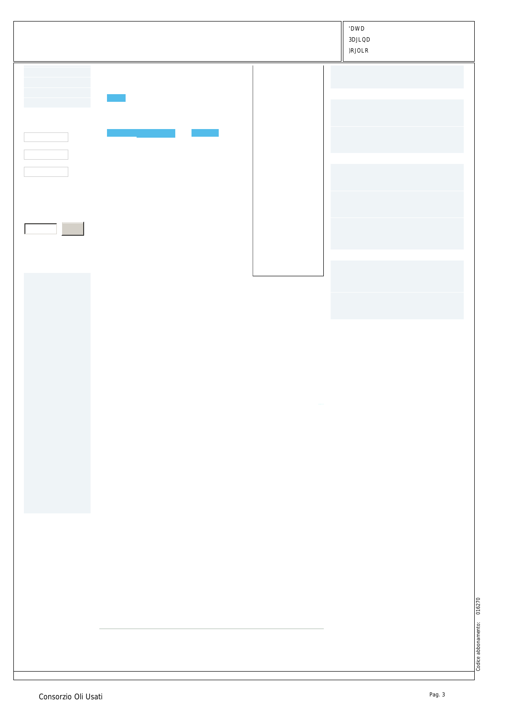|                                                                                                                                                           | $(1) 29 (5 \& (1), \quad 7 \quad (%)$                                                                                                                                                                                                                                                                                                                                                                                                                                                                                        |                                                                                                                                                                                                                                                                                                                                                                                                                                                                     |
|-----------------------------------------------------------------------------------------------------------------------------------------------------------|------------------------------------------------------------------------------------------------------------------------------------------------------------------------------------------------------------------------------------------------------------------------------------------------------------------------------------------------------------------------------------------------------------------------------------------------------------------------------------------------------------------------------|---------------------------------------------------------------------------------------------------------------------------------------------------------------------------------------------------------------------------------------------------------------------------------------------------------------------------------------------------------------------------------------------------------------------------------------------------------------------|
|                                                                                                                                                           | DOO.LQWHUQR GHO YLOODJJLR                                                                                                                                                                                                                                                                                                                                                                                                                                                                                                    | 8Q WRUQHR JUDQGLRVR ULFR                                                                                                                                                                                                                                                                                                                                                                                                                                            |
| <b>5DFFRQWL H SF</b><br>) R W R J D O O H U \<br><b>9LGHRJDOOHU</b><br>/LEUL                                                                              | GHOO.DVVHVVRUH DOO., VWUXIL<br>SQGUHD 5DLQHUL H GHO GLUHV<br>GHO &228 )UDQFR %DUEHWWL                                                                                                                                                                                                                                                                                                                                                                                                                                        | QRVWUR \$QGUHD<br>K<br>OXQHGPDJJLR                                                                                                                                                                                                                                                                                                                                                                                                                                  |
| 1(.6/(77/5<br>1RPH<br>(PDLO<br>&HOOXODUH<br>VFULYHQGRPL DFFR(<br>WUDWWDPHQWR GHL<br>VHFRQ QR OPH YLJHQ<br>$8(58\$1()$ : (%)<br>& HU<br>\$&&\$'(9\$81\$112 | / HYHQWR UDSSDUVHHVVHWQDWDVDSSD<br>GHOOD FDPSDJQD HGXFDWLYD<br>GDO & RQVRUILR 2EEOLJDWRULR<br>SDWURFLQLR GHO OLQLVWHUR<br>FKH QHOO DUFR GL GXH DQQL<br>FDSROXRJKL GL SURYLQFLD LW<br>VHQVLELOLIIDUH O.RSLQLRQH S<br>DPPLQLVWUD]LRQL ORFDOL VXC<br>OXEULILFDQWL XVDWL H RWWL<br>'DOOH<br><b>DOOH</b><br>DOO.LQWHUQF<br>GHOOH VFKROSHDUWHFLSHUDQQI<br>ORUR GHGLFDWL L UDJD]]L VL<br>DOOHVWLWR GDDR&FK@WEDQQR B<br>/HDJXHLO SULPR VRFLDO JDPH<br>DOO.HGXFDILRQH DPELHQWDOH<br>1HO FRUVR GHOO-LQFRQWUR F <del>ru op vwppst</del> | 6L LOOXPLQDQR GL YLROD OD 7<br>H LO PRQXPHQWR D *DOLOHR )H<br>K<br><b>9HUVR O LQGXVWULD</b><br>GLEDV<br>DOO DVVHPEOHD GL )HGHUPDQD<br><b>GRPHQLFBDJJLR</b><br>3HQQH QHUH D 7UHYLVR OD FI<br>YHUFHOOHVL IRWRJDOOHU\<br>K<br>3RGLR QRUGDIULFDQR SHU /D<br>) U D Q F L J H Q D<br>IRWRJDOOHU\<br>K<br>& RUVD FKH SDVVLRQH D 9HUF<br>PDWWLQDWD DOO LQVHJQD GHO<br>IRWRJDOOHU\<br>YHQHUGRDJJLR<br>SPELHQWH H VDOXWH LO SLD<br>\$VO & RPXQH 3URYLQFLD 8QLY<br><b>SUSD</b> |
| SUWH H & XOWXU<br><b>2JQL PDOHGHW</b><br>GRPHQLFD<br>SUHVHQWD]LRQ<br>2 U W L F D                                                                          | UHVL QRWL L GDWL GL UDFFROWD GHJOL ROI<br>SDUWLFRODUH LQ 3URYQQ&FFLQDVQRLU]9LHRU\$FUHROSDRU<br>UHODWRUL OH VROXILRQL DG HYHQWXDOL GL<br>OXEULILFDQWH XVDWR q XQ ULILXWR SHULFR<br>FRUUHWWDPHQWH 6H XWLOLIIDWR LQ PRGR<br>GDQQRVR SHU O·DPELHQWH H SHU OD VDOXW<br>GL ROLR <sup>2</sup> LO FDPELR GL XQ.DXWR <sup>2</sup> VH YHUV<br>VXSHUILFLH JUDQGH TXDQWR XQ FDPSR GL FI<br>UH <sub>(</sub>                                                                                                                               | K.<br>& D S S X F F L Q L D F F R O J R Q R L O (<br>SDUURFR<br>K<br>/HJJL OH XOWLPF                                                                                                                                                                                                                                                                                                                                                                                |
| <b>3ROLWLFD</b><br>6LDPR9HUFHOO<br>%RFFLDWD OD (<br>PRILRQH VXOOI                                                                                         | 7L SRWUHEEHUR LOWHUHVVDUH DOFKH                                                                                                                                                                                                                                                                                                                                                                                                                                                                                              |                                                                                                                                                                                                                                                                                                                                                                                                                                                                     |
| & U R Q D F D<br>%HFFDWR LOUI<br>DYHYD WDJOLD<br>JRPPH D<br><b>DXW</b><br>/HJJL WXWWF                                                                     | 9 R O D W D U L I I H D D W F FRO W D L Q 4 X B Q I G R K D L X<br>$SL^*$<br>/ LQFUHGLELOH &/RWRRSUHLUD GSLRU'<br>YDQWDJJLRVH )3OUDHOLRRW6DHVWLQELVRJQURGGLLD.<br>$SL \cdot 1$<br>VXELWR GD<br>DOWUR<br>9ROL HFRQRPLFL ULVFKLR GL PHUFGQW&B2/ % ( & 223                                                                                                                                                                                                                                                                      |                                                                                                                                                                                                                                                                                                                                                                                                                                                                     |
|                                                                                                                                                           | $(8.82 \quad 8.20 \quad (8.51', (5.5666355, 7.51)$ (//\$ 3, & & 2/\$ 1\$)<br>$3(5 81 32672 1(A8)/$$ '232 (66(59(1(5', 6(5\$ &<br>& (1752 / 2 *, 67, & $\mathcal{B}$ 7 $\mathcal{S}$ 7 $\mathcal{S}$ 1 (/ 0 $\mathcal{S}$ 1 (* 3, $\mathcal{S}$ 5 7 2 1 $\mathcal{S}$ 7 8 5 $\mathcal{S}$ /<br>$9(5\&(1),$<br>$'( / 8 $1 $9(6 ( , 1 8)88, ( '87 $ 6 $% $7$<br>$SPDIRQ$ SDUWRQ $R$ $\Theta$ $H$ $\Theta$ \$, 1682 & \$9\$772, 1\$\$129<br>7URYDWD PRUWD QDO (<br>'UDPPD D %LHOO<br>6SRQVRUL]][                                 | 016270                                                                                                                                                                                                                                                                                                                                                                                                                                                              |
|                                                                                                                                                           | SUWLFROL VXOOR VWHVVR DUJRPHQWR                                                                                                                                                                                                                                                                                                                                                                                                                                                                                              | abbonamento:<br>Codice                                                                                                                                                                                                                                                                                                                                                                                                                                              |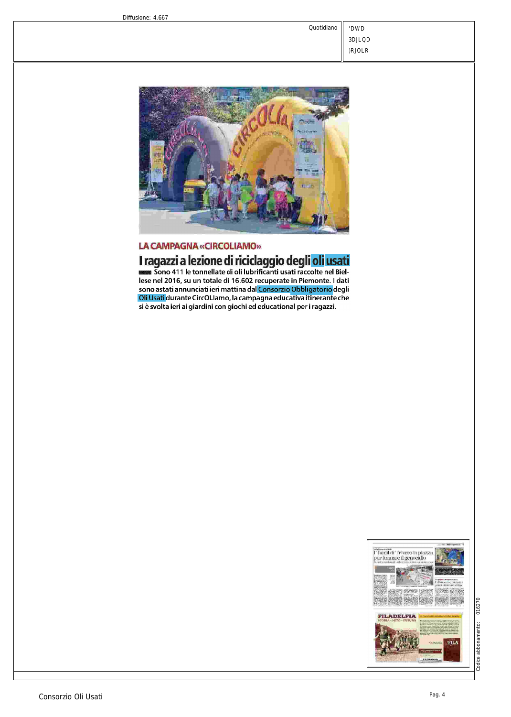<span id="page-3-0"></span>

## LA CAMPAGNA «CIRCOLIAMO»

## I ragazzi a lezione di riciclaggio degli oli usati

lese nel 2016, su un totale di 16.602 recuperate in Piemonte. I dati sono astati annunciati ieri mattina dal Consorzio Obbligatorio degli Oli Usati durante CircOLlamo, la campagna educativa itinerante che si è svolta ieri ai giardini con giochi ed educational per i ragazzi.

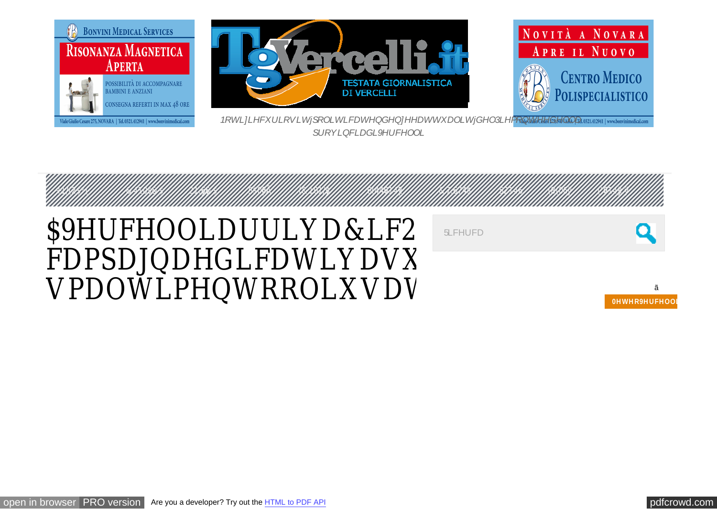<span id="page-4-0"></span>

Viale Giulio Cesare 275, NOVARA | Tel. 0321.412941 | www.bonvinimedical.com







Viale Giulio Cesare 275, NOVARA | Tel. 0321.412941 | www.bonvinimedical.com



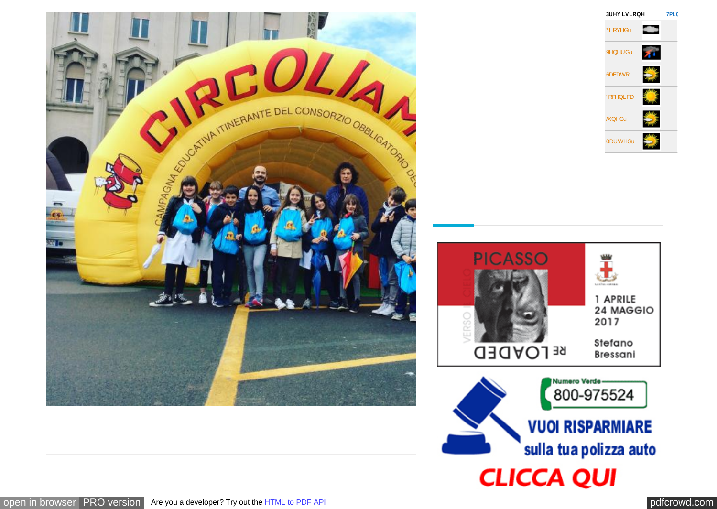



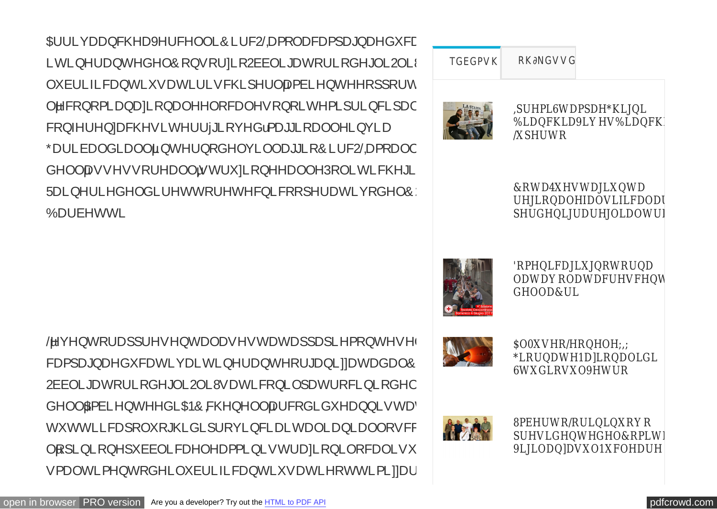







open in browser PRO version Are you a developer? Try out the **HTML to PDF API proper and the Section** pdfcrowd.com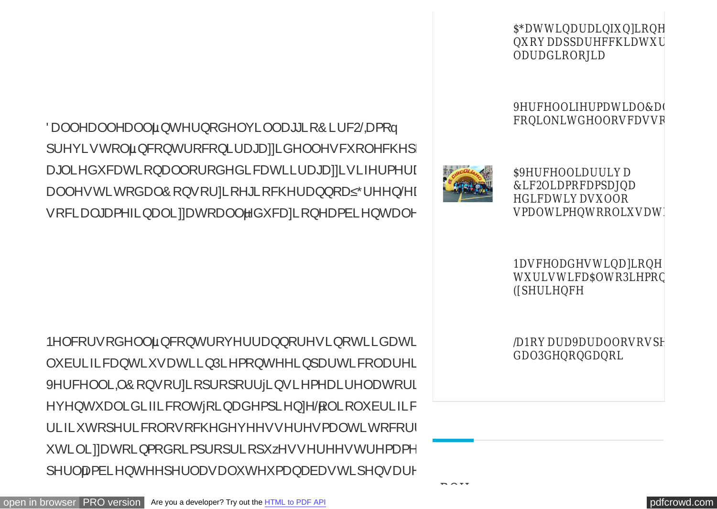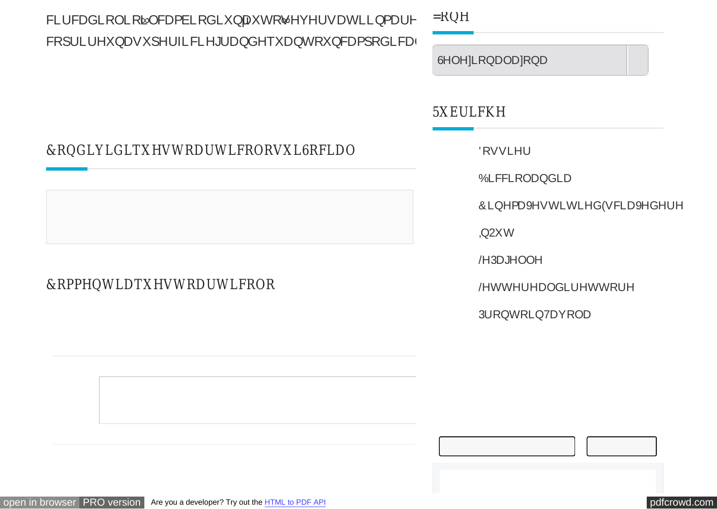pdfcrowd.com

'L FKH WL SLDFH SULPD GL

) DFHERRN & RPPHQWV 30XJLQ

OL SLDFH TXHVW

& R Q G L

\$JJLXQJL XQ FRPPHQWR

## FRPPHQWL



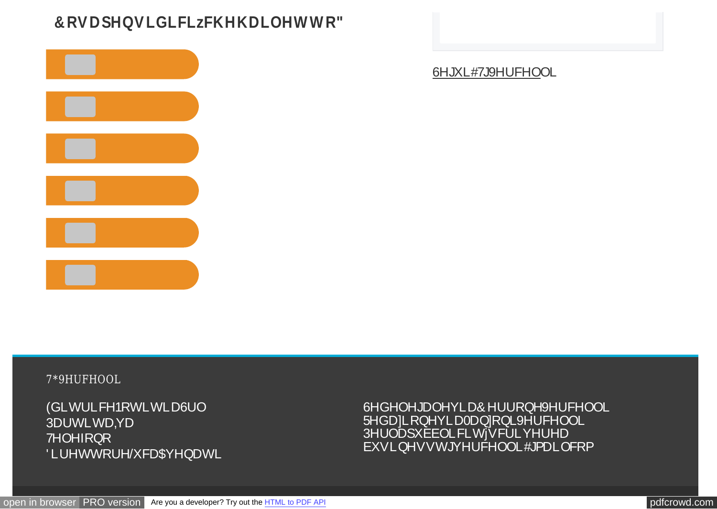

9RW DQWHUHVVD

9RW&XULRVR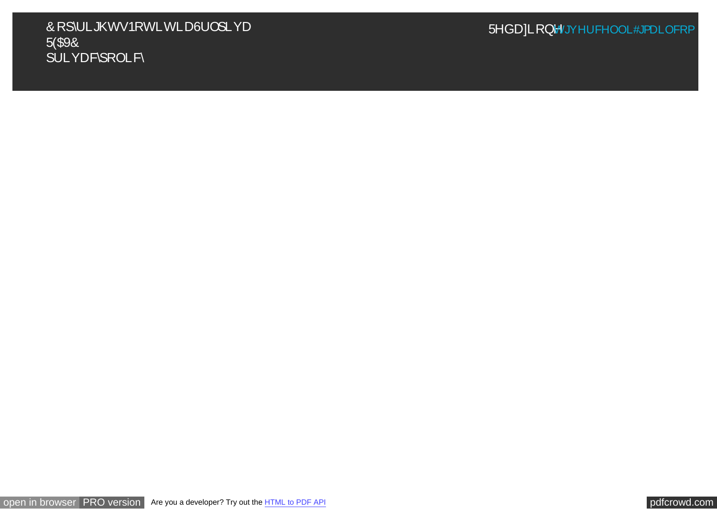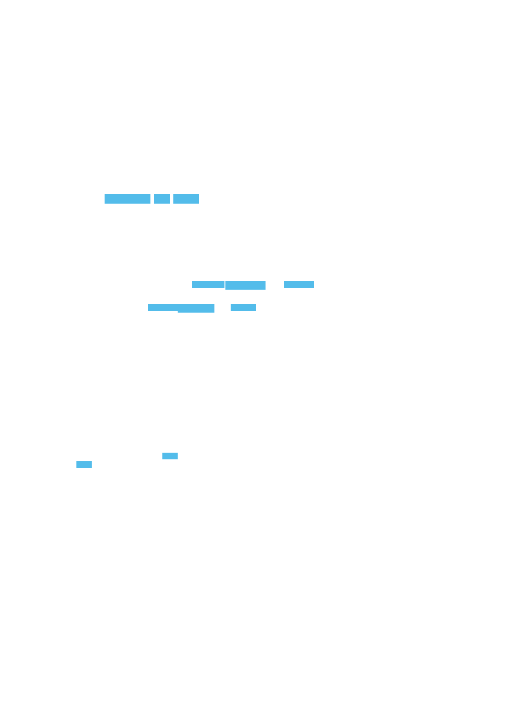<span id="page-12-0"></span>

| a a shekara |                                |                               |                          |
|-------------|--------------------------------|-------------------------------|--------------------------|
|             |                                |                               |                          |
|             |                                |                               |                          |
|             |                                | and the state of the state of | <b>Contract Contract</b> |
|             | a sa salawan na katalog sa san |                               |                          |
|             |                                |                               |                          |
|             |                                |                               |                          |
|             |                                |                               |                          |
|             |                                |                               |                          |
|             |                                |                               |                          |
|             |                                |                               |                          |